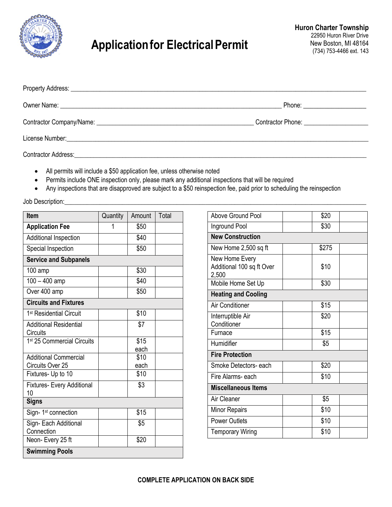

## **Applicationfor ElectricalPermit**

| Owner Name: <u>example and the set of the set of the set of the set of the set of the set of the set of the set of the set of the set of the set of the set of the set of the set of the set of the set of the set of the set of</u> | Phone: ________________________            |
|--------------------------------------------------------------------------------------------------------------------------------------------------------------------------------------------------------------------------------------|--------------------------------------------|
|                                                                                                                                                                                                                                      | Contractor Phone: <u>_________________</u> |
|                                                                                                                                                                                                                                      |                                            |
| <b>Contractor Address:</b>                                                                                                                                                                                                           |                                            |

- All permits will include a \$50 application fee, unless otherwise noted
- Permits include ONE inspection only, please mark any additional inspections that will be required
- Any inspections that are disapproved are subject to a \$50 reinspection fee, paid prior to scheduling the reinspection

Job Description:

| Item                                      | Quantity | Amount       | Total |
|-------------------------------------------|----------|--------------|-------|
| <b>Application Fee</b>                    | 1        | \$50         |       |
| Additional Inspection                     |          | \$40         |       |
| Special Inspection                        |          | \$50         |       |
| <b>Service and Subpanels</b>              |          |              |       |
| $100$ amp                                 |          | \$30         |       |
| $100 - 400$ amp                           |          | \$40         |       |
| Over 400 amp                              |          | \$50         |       |
| <b>Circuits and Fixtures</b>              |          |              |       |
| 1 <sup>st</sup> Residential Circuit       |          | \$10         |       |
| <b>Additional Residential</b><br>Circuits |          | \$7          |       |
| 1 <sup>st</sup> 25 Commercial Circuits    |          | \$15         |       |
|                                           |          | each         |       |
| <b>Additional Commercial</b>              |          | \$10<br>each |       |
| Circuits Over 25<br>Fixtures- Up to 10    |          | \$10         |       |
|                                           |          |              |       |
| <b>Fixtures- Every Additional</b><br>10   |          | \$3          |       |
| <b>Signs</b>                              |          |              |       |
| Sign-1 <sup>st</sup> connection           |          | \$15         |       |
| Sign- Each Additional<br>Connection       |          | \$5          |       |
| Neon-Every 25 ft                          |          | \$20         |       |
| <b>Swimming Pools</b>                     |          |              |       |

| Above Ground Pool                                    | \$20  |  |  |  |
|------------------------------------------------------|-------|--|--|--|
| Inground Pool                                        | \$30  |  |  |  |
| <b>New Construction</b>                              |       |  |  |  |
| New Home 2,500 sq ft                                 | \$275 |  |  |  |
| New Home Every<br>Additional 100 sq ft Over<br>2,500 | \$10  |  |  |  |
| Mobile Home Set Up                                   | \$30  |  |  |  |
| <b>Heating and Cooling</b>                           |       |  |  |  |
| <b>Air Conditioner</b>                               | \$15  |  |  |  |
| Interruptible Air<br>Conditioner                     | \$20  |  |  |  |
| Furnace                                              | \$15  |  |  |  |
| Humidifier                                           | \$5   |  |  |  |
| <b>Fire Protection</b>                               |       |  |  |  |
| Smoke Detectors- each                                | \$20  |  |  |  |
| Fire Alarms- each                                    | \$10  |  |  |  |
| <b>Miscellaneous Items</b>                           |       |  |  |  |
| Air Cleaner                                          | \$5   |  |  |  |
| <b>Minor Repairs</b>                                 | \$10  |  |  |  |
| <b>Power Outlets</b>                                 | \$10  |  |  |  |
| <b>Temporary Wiring</b>                              | \$10  |  |  |  |